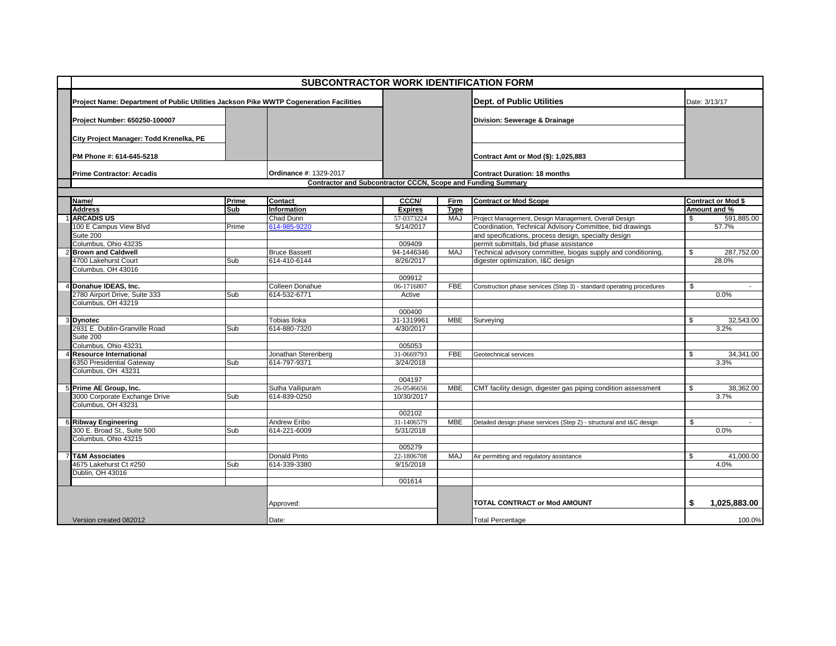| <b>SUBCONTRACTOR WORK IDENTIFICATION FORM</b> |                                                                                        |       |                        |                |                                                              |                                                                      |        |                           |  |
|-----------------------------------------------|----------------------------------------------------------------------------------------|-------|------------------------|----------------|--------------------------------------------------------------|----------------------------------------------------------------------|--------|---------------------------|--|
|                                               | Project Name: Department of Public Utilities Jackson Pike WWTP Cogeneration Facilities |       |                        |                |                                                              | <b>Dept. of Public Utilities</b>                                     |        | Date: 3/13/17             |  |
|                                               | Project Number: 650250-100007                                                          |       |                        |                |                                                              | Division: Sewerage & Drainage                                        |        |                           |  |
|                                               | City Project Manager: Todd Krenelka, PE                                                |       |                        |                |                                                              |                                                                      |        |                           |  |
|                                               | PM Phone #: 614-645-5218                                                               |       |                        |                |                                                              | Contract Amt or Mod (\$): 1,025,883                                  |        |                           |  |
|                                               | <b>Prime Contractor: Arcadis</b>                                                       |       | Ordinance #: 1329-2017 |                |                                                              | <b>Contract Duration: 18 months</b>                                  |        |                           |  |
|                                               |                                                                                        |       |                        |                | Contractor and Subcontractor CCCN, Scope and Funding Summary |                                                                      |        |                           |  |
|                                               |                                                                                        |       |                        |                |                                                              |                                                                      |        |                           |  |
|                                               | Name/                                                                                  | Prime | <b>Contact</b>         | <b>CCCN/</b>   | Firm                                                         | <b>Contract or Mod Scope</b>                                         |        | <b>Contract or Mod \$</b> |  |
|                                               | <b>Address</b>                                                                         | Sub   | Information            | <b>Expires</b> | <b>Type</b>                                                  |                                                                      |        | Amount and %              |  |
|                                               | <b>ARCADIS US</b>                                                                      |       | Chad Dunn              | 57-0373224     | <b>MAJ</b>                                                   | Project Management, Design Management, Overall Design                | \$     | 591,885.00                |  |
|                                               | 100 E Campus View Blvd                                                                 | Prime | 614-985-9220           | 5/14/2017      |                                                              | Coordination, Technical Advisory Committee, bid drawings             |        | 57.7%                     |  |
|                                               | Suite 200                                                                              |       |                        |                |                                                              | and specifications, process design, specialty design                 |        |                           |  |
|                                               | Columbus, Ohio 43235                                                                   |       |                        | 009409         |                                                              | permit submittals, bid phase assistance                              |        |                           |  |
|                                               | <b>Brown and Caldwell</b>                                                              |       | <b>Bruce Bassett</b>   | 94-1446346     | MAJ                                                          | Technical advisory committee, biogas supply and conditioning,        | \$     | 287,752.00                |  |
|                                               | 4700 Lakehurst Court                                                                   | Sub   | 614-410-6144           | 8/26/2017      |                                                              | digester optimization, I&C design                                    |        | 28.0%                     |  |
|                                               | Columbus, OH 43016                                                                     |       |                        |                |                                                              |                                                                      |        |                           |  |
|                                               |                                                                                        |       |                        | 009912         |                                                              |                                                                      |        |                           |  |
|                                               | 4 Donahue IDEAS, Inc.                                                                  |       | Colleen Donahue        | 06-1716807     | <b>FBE</b>                                                   | Construction phase services (Step 3) - standard operating procedures | \$     | $\sim$                    |  |
|                                               | 2780 Airport Drive, Suite 333                                                          | Sub   | 614-532-6771           | Active         |                                                              |                                                                      |        | 0.0%                      |  |
|                                               | Columbus, OH 43219                                                                     |       |                        |                |                                                              |                                                                      |        |                           |  |
|                                               |                                                                                        |       |                        | 000400         |                                                              |                                                                      |        |                           |  |
|                                               | 3 Dynotec                                                                              |       | Tobias Iloka           | 31-1319961     | <b>MBE</b>                                                   | Surveying                                                            | \$     | 32.543.00                 |  |
|                                               | 2931 E. Dublin-Granville Road                                                          | Sub   | 614-880-7320           | 4/30/2017      |                                                              |                                                                      |        | 3.2%                      |  |
|                                               | Suite 200                                                                              |       |                        |                |                                                              |                                                                      |        |                           |  |
|                                               | Columbus, Ohio 43231                                                                   |       |                        | 005053         |                                                              |                                                                      |        |                           |  |
|                                               | <b>Resource International</b>                                                          |       | Jonathan Sterenberg    | 31-0669793     | <b>FBE</b>                                                   | Geotechnical services                                                | \$     | 34,341.00                 |  |
|                                               | 6350 Presidential Gateway                                                              | Sub   | 614-797-9371           | 3/24/2018      |                                                              |                                                                      |        | 3.3%                      |  |
|                                               | Columbus, OH 43231                                                                     |       |                        |                |                                                              |                                                                      |        |                           |  |
|                                               |                                                                                        |       |                        | 004197         |                                                              |                                                                      |        |                           |  |
|                                               | 5 Prime AE Group, Inc.                                                                 |       | Sutha Vallipuram       | 26-0546656     | <b>MBE</b>                                                   | CMT facility design, digester gas piping condition assessment        | \$     | 38,362.00                 |  |
|                                               | 3000 Corporate Exchange Drive                                                          | Sub   | 614-839-0250           | 10/30/2017     |                                                              |                                                                      |        | 3.7%                      |  |
|                                               | Columbus, OH 43231                                                                     |       |                        |                |                                                              |                                                                      |        |                           |  |
|                                               |                                                                                        |       |                        | 002102         |                                                              |                                                                      |        |                           |  |
|                                               | 6 Ribway Engineering                                                                   |       | Andrew Eribo           | 31-1406579     | <b>MBE</b>                                                   | Detailed design phase services (Step 2) - structural and I&C design  | \$     | $\sim$                    |  |
|                                               | 300 E. Broad St., Suite 500                                                            | Sub   | 614-221-6009           | 5/31/2018      |                                                              |                                                                      |        | 0.0%                      |  |
|                                               | Columbus, Ohio 43215                                                                   |       |                        |                |                                                              |                                                                      |        |                           |  |
|                                               |                                                                                        |       |                        | 005279         |                                                              |                                                                      |        |                           |  |
|                                               | <b>T&amp;M Associates</b>                                                              |       | Donald Pinto           | 22-1806708     | <b>MAJ</b>                                                   | Air permitting and regulatory assistance                             | \$     | 41,000.00                 |  |
|                                               | 4675 Lakehurst Ct #250                                                                 | Sub   | 614-339-3380           | 9/15/2018      |                                                              |                                                                      |        | 4.0%                      |  |
|                                               | Dublin, OH 43016                                                                       |       |                        |                |                                                              |                                                                      |        |                           |  |
|                                               |                                                                                        |       |                        | 001614         |                                                              |                                                                      |        |                           |  |
|                                               |                                                                                        |       | Approved:              |                |                                                              | TOTAL CONTRACT or Mod AMOUNT                                         | S      | 1.025.883.00              |  |
|                                               |                                                                                        |       |                        |                |                                                              |                                                                      |        |                           |  |
| Version created 082012<br>Date:               |                                                                                        |       |                        |                | <b>Total Percentage</b>                                      |                                                                      | 100.0% |                           |  |